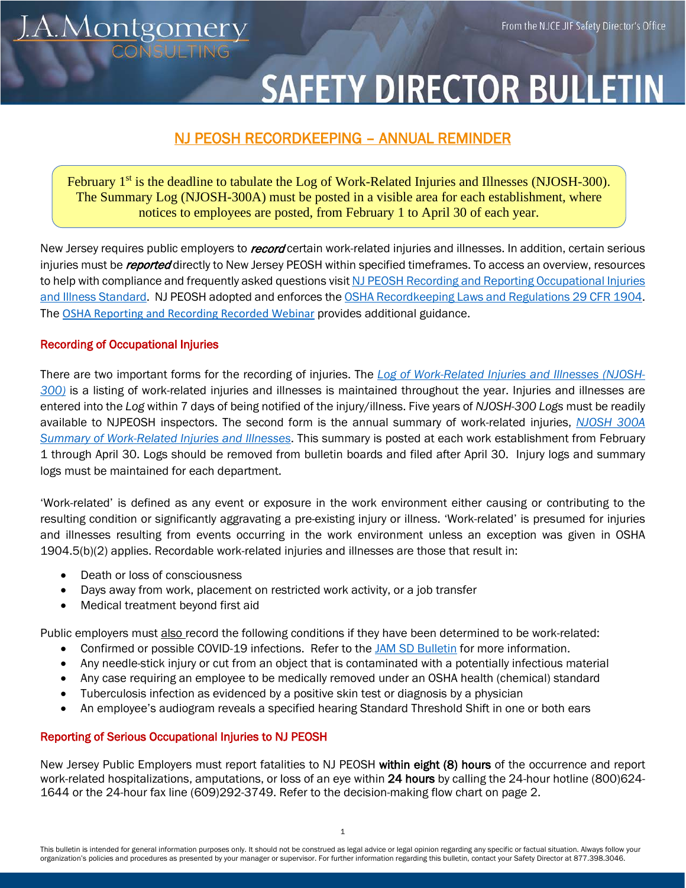

# **SAFETY DIRECTOR BULLETII**

## NJ PEOSH RECORDKEEPING – ANNUAL REMINDER

February 1<sup>st</sup> is the deadline to tabulate the Log of Work-Related Injuries and Illnesses (NJOSH-300). The Summary Log (NJOSH-300A) must be posted in a visible area for each establishment, where notices to employees are posted, from February 1 to April 30 of each year.

New Jersey requires public employers to *record* certain work-related injuries and illnesses. In addition, certain serious injuries must be *reported* directly to New Jersey PEOSH within specified timeframes. To access an overview, resources to help with compliance and frequently asked questions visit NJ PEOSH Recording and Reporting Occupational Injuries [and Illness Standard.](https://www.nj.gov/health/workplacehealthandsafety/peosh/peosh-health-standards/record.shtml) NJ PEOSH adopted and enforces th[e OSHA Recordkeeping Laws and Regulations 29 CFR 1904.](https://www.osha.gov/laws-regs/regulations/standardnumber/1904)  The [OSHA Reporting and Recording Recorded Webinar](https://www.screencast.com/t/vUD34Fq263Kw) provides additional guidance.

#### Recording of Occupational Injuries

There are two important forms for the recording of injuries. The *[Log of Work-Related Injuries and Illnesses \(NJOSH-](https://nj.gov/health/workplacehealthandsafety/documents/peosh/njosh300.pdf)[300\)](https://nj.gov/health/workplacehealthandsafety/documents/peosh/njosh300.pdf)* is a listing of work-related injuries and illnesses is maintained throughout the year. Injuries and illnesses are entered into the *Log* within 7 days of being notified of the injury/illness. Five years of *NJOSH-300 Logs* must be readily available to NJPEOSH inspectors. The second form is the annual summary of work-related injuries, *[NJOSH 300A](https://nj.gov/health/workplacehealthandsafety/documents/peosh/njosh300a.pdf)  [Summary of Work-Related Injuries and Illnesses](https://nj.gov/health/workplacehealthandsafety/documents/peosh/njosh300a.pdf)*. This summary is posted at each work establishment from February 1 through April 30. Logs should be removed from bulletin boards and filed after April 30. Injury logs and summary logs must be maintained for each department.

'Work-related' is defined as any event or exposure in the work environment either causing or contributing to the resulting condition or significantly aggravating a pre-existing injury or illness. 'Work-related' is presumed for injuries and illnesses resulting from events occurring in the work environment unless an exception was given in OSHA 1904.5(b)(2) applies. Recordable work-related injuries and illnesses are those that result in:

- Death or loss of consciousness
- Days away from work, placement on restricted work activity, or a job transfer
- Medical treatment beyond first aid

Public employers must also record the following conditions if they have been determined to be work-related:

- Confirmed or possible COVID-19 infections. Refer to th[e JAM SD Bulletin](https://njce.org/jam-safety-bulletin-guidance-for-reporting-and-recording-covid-related-illnesses-1-2022/) for more information.
- Any needle-stick injury or cut from an object that is contaminated with a potentially infectious material
- Any case requiring an employee to be medically removed under an OSHA health (chemical) standard
- Tuberculosis infection as evidenced by a positive skin test or diagnosis by a physician
- An employee's audiogram reveals a specified hearing Standard Threshold Shift in one or both ears

#### Reporting of Serious Occupational Injuries to NJ PEOSH

New Jersey Public Employers must report fatalities to NJ PEOSH within eight (8) hours of the occurrence and report work-related hospitalizations, amputations, or loss of an eye within 24 hours by calling the 24-hour hotline (800)624-1644 or the 24-hour fax line (609)292-3749. Refer to the decision-making flow chart on page 2.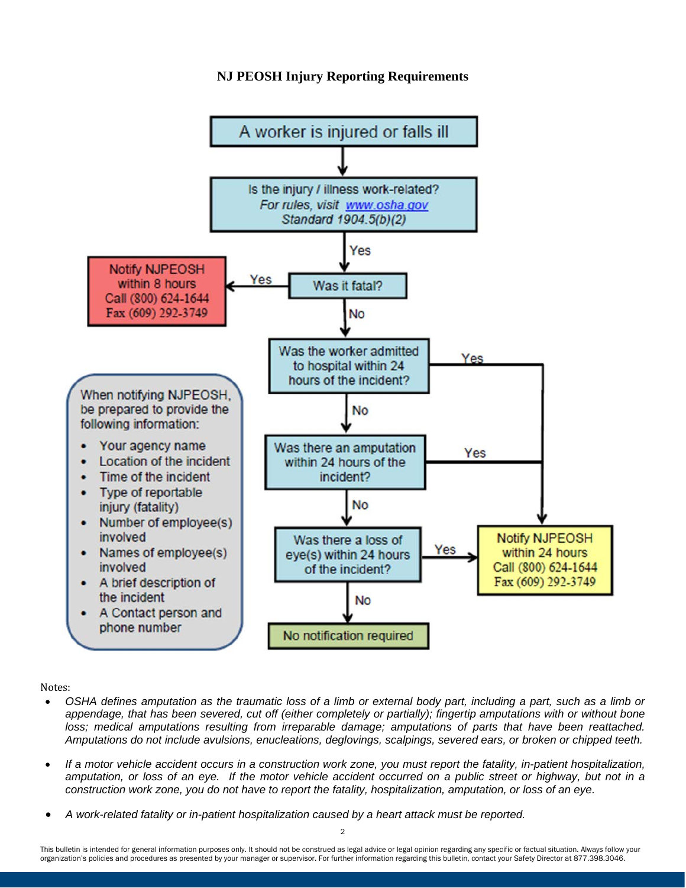### **NJ PEOSH Injury Reporting Requirements**



Notes:

- *OSHA defines amputation as the traumatic loss of a limb or external body part, including a part, such as a limb or appendage, that has been severed, cut off (either completely or partially); fingertip amputations with or without bone loss; medical amputations resulting from irreparable damage; amputations of parts that have been reattached. Amputations do not include avulsions, enucleations, deglovings, scalpings, severed ears, or broken or chipped teeth.*
- *If a motor vehicle accident occurs in a construction work zone, you must report the fatality, in-patient hospitalization,*  amputation, or loss of an eye. If the motor vehicle accident occurred on a public street or highway, but not in a *construction work zone, you do not have to report the fatality, hospitalization, amputation, or loss of an eye.*
- *A work-related fatality or in-patient hospitalization caused by a heart attack must be reported.*